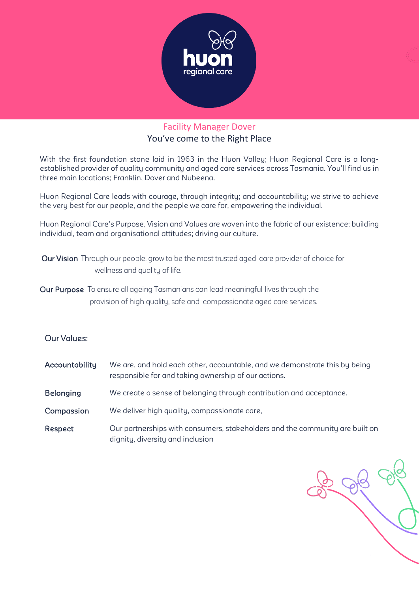

# Facility Manager Dover You've come to the Right Place

With the first foundation stone laid in 1963 in the Huon Valley; Huon Regional Care is a longestablished provider of quality community and aged care services across Tasmania. You'll find us in three main locations; Franklin, Dover and Nubeena.

Huon Regional Care leads with courage, through integrity; and accountability; we strive to achieve the very best for our people, and the people we care for, empowering the individual.

Huon Regional Care's Purpose, Vision and Values are woven into the fabric of our existence; building individual, team and organisational attitudes; driving our culture.

- Our Vision Through our people, grow to be the most trusted aged care provider of choice for wellness and quality of life.
- Our Purpose To ensure all ageing Tasmanians can lead meaningful lives through the provision of high quality, safe and compassionate aged care services.

# Our Values:

- Accountability We are, and hold each other, accountable, and we demonstrate this by being responsible for and taking ownership of our actions.
- Belonging We create a sense of belonging through contribution and acceptance.
- Compassion We deliver high quality, compassionate care.
- Respect Our partnerships with consumers, stakeholders and the community are built on dignity, diversity and inclusion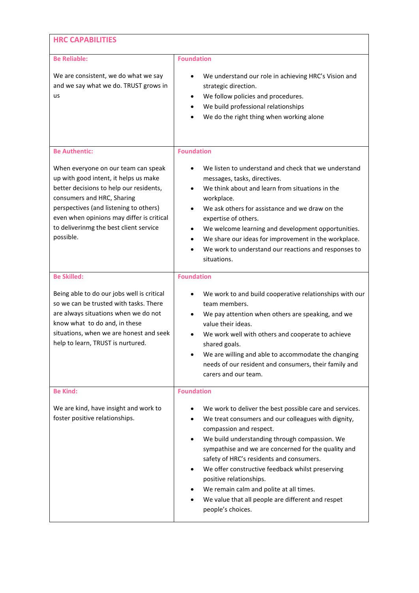| <b>HRC CAPABILITIES</b>                                                                                                                                                                                                                                                                                                     |                                                                                                                                                                                                                                                                                                                                                                                                                                                                                                                        |  |  |  |
|-----------------------------------------------------------------------------------------------------------------------------------------------------------------------------------------------------------------------------------------------------------------------------------------------------------------------------|------------------------------------------------------------------------------------------------------------------------------------------------------------------------------------------------------------------------------------------------------------------------------------------------------------------------------------------------------------------------------------------------------------------------------------------------------------------------------------------------------------------------|--|--|--|
| <b>Be Reliable:</b><br>We are consistent, we do what we say<br>and we say what we do. TRUST grows in<br>us                                                                                                                                                                                                                  | <b>Foundation</b><br>We understand our role in achieving HRC's Vision and<br>strategic direction.<br>We follow policies and procedures.<br>We build professional relationships<br>We do the right thing when working alone                                                                                                                                                                                                                                                                                             |  |  |  |
| <b>Be Authentic:</b><br>When everyone on our team can speak<br>up with good intent, it helps us make<br>better decisions to help our residents,<br>consumers and HRC, Sharing<br>perspectives (and listening to others)<br>even when opinions may differ is critical<br>to deliverinmg the best client service<br>possible. | <b>Foundation</b><br>We listen to understand and check that we understand<br>messages, tasks, directives.<br>We think about and learn from situations in the<br>workplace.<br>We ask others for assistance and we draw on the<br>expertise of others.<br>We welcome learning and development opportunities.<br>$\bullet$<br>We share our ideas for improvement in the workplace.<br>$\bullet$<br>We work to understand our reactions and responses to<br>situations.                                                   |  |  |  |
| <b>Be Skilled:</b><br>Being able to do our jobs well is critical<br>so we can be trusted with tasks. There<br>are always situations when we do not<br>know what to do and, in these<br>situations, when we are honest and seek<br>help to learn, TRUST is nurtured.                                                         | <b>Foundation</b><br>We work to and build cooperative relationships with our<br>٠<br>team members.<br>We pay attention when others are speaking, and we<br>value their ideas.<br>We work well with others and cooperate to achieve<br>shared goals.<br>We are willing and able to accommodate the changing<br>needs of our resident and consumers, their family and<br>carers and our team.                                                                                                                            |  |  |  |
| <b>Be Kind:</b><br>We are kind, have insight and work to<br>foster positive relationships.                                                                                                                                                                                                                                  | <b>Foundation</b><br>We work to deliver the best possible care and services.<br>We treat consumers and our colleagues with dignity,<br>compassion and respect.<br>We build understanding through compassion. We<br>sympathise and we are concerned for the quality and<br>safety of HRC's residents and consumers.<br>We offer constructive feedback whilst preserving<br>positive relationships.<br>We remain calm and polite at all times.<br>We value that all people are different and respet<br>people's choices. |  |  |  |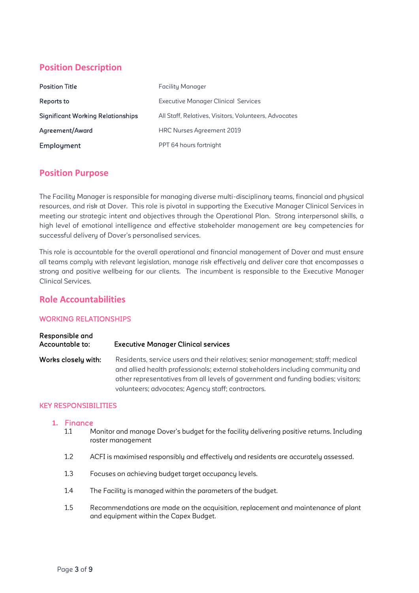# **Position Description**

| <b>Position Title</b>                    | <b>Facility Manager</b>                               |
|------------------------------------------|-------------------------------------------------------|
| Reports to                               | <b>Executive Manager Clinical Services</b>            |
| <b>Significant Working Relationships</b> | All Staff, Relatives, Visitors, Volunteers, Advocates |
| Agreement/Award                          | HRC Nurses Agreement 2019                             |
| <b>Employment</b>                        | PPT 64 hours fortnight                                |

# **Position Purpose**

The Facility Manager is responsible for managing diverse multi-disciplinary teams, financial and physical resources, and risk at Dover. This role is pivotal in supporting the Executive Manager Clinical Services in meeting our strategic intent and objectives through the Operational Plan. Strong interpersonal skills, a high level of emotional intelligence and effective stakeholder management are key competencies for successful delivery of Dover's personalised services.

This role is accountable for the overall operational and financial management of Dover and must ensure all teams comply with relevant legislation, manage risk effectively and deliver care that encompasses a strong and positive wellbeing for our clients. The incumbent is responsible to the Executive Manager Clinical Services.

# **Role Accountabilities**

## WORKING RELATIONSHIPS

| Responsible and<br>Accountable to: | <b>Executive Manager Clinical services</b>                                                                                                                                                                                                                                                                  |
|------------------------------------|-------------------------------------------------------------------------------------------------------------------------------------------------------------------------------------------------------------------------------------------------------------------------------------------------------------|
| Works closely with:                | Residents, service users and their relatives; senior management; staff; medical<br>and allied health professionals; external stakeholders including community and<br>other representatives from all levels of government and funding bodies; visitors;<br>volunteers; advocates; Agency staff; contractors. |

## KEY RESPONSIBILITIES

### **1.** Finance

- 1.1 Monitor and manage Dover's budget for the facility delivering positive returns. Including roster management
- 1.2 ACFI is maximised responsibly and effectively and residents are accurately assessed.
- 1.3 Focuses on achieving budget target occupancy levels.
- 1.4 The Facility is managed within the parameters of the budget.
- 1.5 Recommendations are made on the acquisition, replacement and maintenance of plant and equipment within the Capex Budget.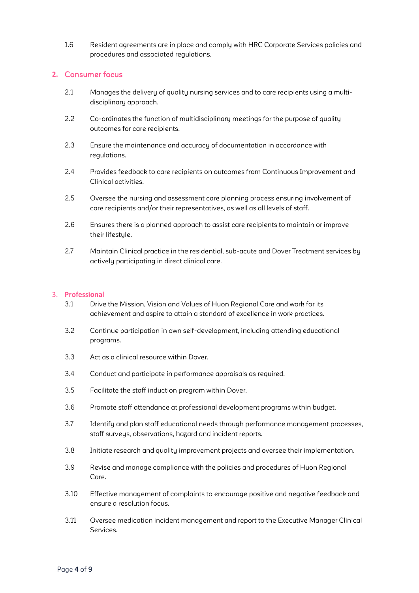1.6 Resident agreements are in place and comply with HRC Corporate Services policies and procedures and associated regulations.

## **2.** Consumer focus

- 2.1 Manages the delivery of quality nursing services and to care recipients using a multidisciplinary approach.
- 2.2 Co-ordinates the function of multidisciplinary meetings for the purpose of quality outcomes for care recipients.
- 2.3 Ensure the maintenance and accuracy of documentation in accordance with regulations.
- 2.4 Provides feedback to care recipients on outcomes from Continuous Improvement and Clinical activities.
- 2.5 Oversee the nursing and assessment care planning process ensuring involvement of care recipients and/or their representatives, as well as all levels of staff.
- 2.6 Ensures there is a planned approach to assist care recipients to maintain or improve their lifestyle.
- 2.7 Maintain Clinical practice in the residential, sub-acute and Dover Treatment services by actively participating in direct clinical care.

### 3. **Professional**

- 3.1 Drive the Mission, Vision and Values of Huon Regional Care and work for its achievement and aspire to attain a standard of excellence in work practices.
- 3.2 Continue participation in own self-development, including attending educational programs.
- 3.3 Act as a clinical resource within Dover.
- 3.4 Conduct and participate in performance appraisals as required.
- 3.5 Facilitate the staff induction program within Dover.
- 3.6 Promote staff attendance at professional development programs within budget.
- 3.7 Identify and plan staff educational needs through performance management processes, staff surveys, observations, hazard and incident reports.
- 3.8 Initiate research and quality improvement projects and oversee their implementation.
- 3.9 Revise and manage compliance with the policies and procedures of Huon Regional Care.
- 3.10 Effective management of complaints to encourage positive and negative feedback and ensure a resolution focus.
- 3.11 Oversee medication incident management and report to the Executive Manager Clinical Services.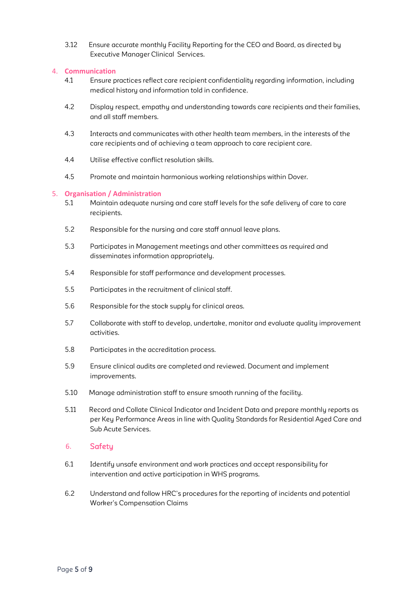3.12 Ensure accurate monthly Facility Reporting for the CEO and Board, as directed by Executive Manager Clinical Services.

## 4. **Communication**

- 4.1 Ensure practices reflect care recipient confidentiality regarding information, including medical history and information told in confidence.
- 4.2 Display respect, empathy and understanding towards care recipients and their families, and all staff members.
- 4.3 Interacts and communicates with other health team members, in the interests of the care recipients and of achieving a team approach to care recipient care.
- 4.4 Utilise effective conflict resolution skills.
- 4.5 Promote and maintain harmonious working relationships within Dover.

## 5. **Organisation / Administration**

- 5.1 Maintain adequate nursing and care staff levels for the safe delivery of care to care recipients.
- 5.2 Responsible for the nursing and care staff annual leave plans.
- 5.3 Participates in Management meetings and other committees as required and disseminates information appropriately.
- 5.4 Responsible for staff performance and development processes.
- 5.5 Participates in the recruitment of clinical staff.
- 5.6 Responsible for the stock supply for clinical areas.
- 5.7 Collaborate with staff to develop, undertake, monitor and evaluate quality improvement activities.
- 5.8 Participates in the accreditation process.
- 5.9 Ensure clinical audits are completed and reviewed. Document and implement improvements.
- 5.10 Manage administration staff to ensure smooth running of the facility.
- 5.11 Record and Collate Clinical Indicator and Incident Data and prepare monthly reports as per Key Performance Areas in line with Quality Standards for Residential Aged Care and Sub Acute Services.

## 6. Safety

- 6.1 Identify unsafe environment and work practices and accept responsibility for intervention and active participation in WHS programs.
- 6.2 Understand and follow HRC's procedures for the reporting of incidents and potential Worker's Compensation Claims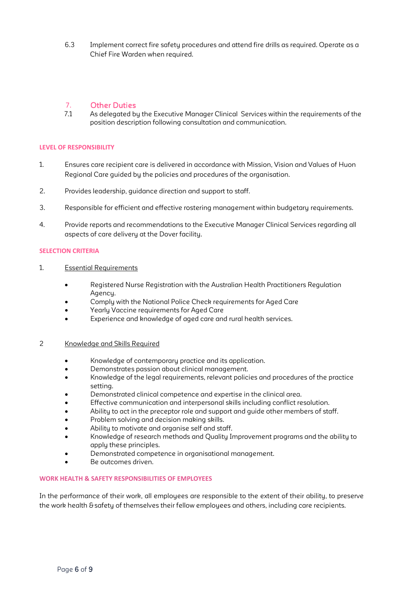6.3 Implement correct fire safety procedures and attend fire drills as required. Operate as a Chief Fire Warden when required.

# 7. Other Duties<br>71 As delegated by

As delegated by the Executive Manager Clinical Services within the requirements of the position description following consultation and communication.

## **LEVEL OF RESPONSIBILITY**

- 1. Ensures care recipient care is delivered in accordance with Mission, Vision and Values of Huon Regional Care guided by the policies and procedures of the organisation.
- 2. Provides leadership, guidance direction and support to staff.
- 3. Responsible for efficient and effective rostering management within budgetary requirements.
- 4. Provide reports and recommendations to the Executive Manager Clinical Services regarding all aspects of care delivery at the Dover facility.

### **SELECTION CRITERIA**

- 1. Essential Requirements
	- Registered Nurse Registration with the Australian Health Practitioners Regulation Agency.
	- Comply with the National Police Check requirements for Aged Care
	- Yearly Vaccine requirements for Aged Care
	- Experience and knowledge of aged care and rural health services.
- 2 Knowledge and Skills Required
	- Knowledge of contemporary practice and its application.
	- Demonstrates passion about clinical management.
	- Knowledge of the legal requirements, relevant policies and procedures of the practice setting.
	- Demonstrated clinical competence and expertise in the clinical area.
	- Effective communication and interpersonal skills including conflict resolution.
	- Ability to act in the preceptor role and support and quide other members of staff.
	- Problem solving and decision making skills.
	- Ability to motivate and organise self and staff.
	- Knowledge of research methods and Quality Improvement programs and the ability to apply these principles.
	- Demonstrated competence in organisational management.
	- Be outcomes driven.

### **WORK HEALTH & SAFETY RESPONSIBILITIES OF EMPLOYEES**

In the performance of their work, all employees are responsible to the extent of their ability, to preserve the work health & safety of themselves their fellow employees and others, including care recipients.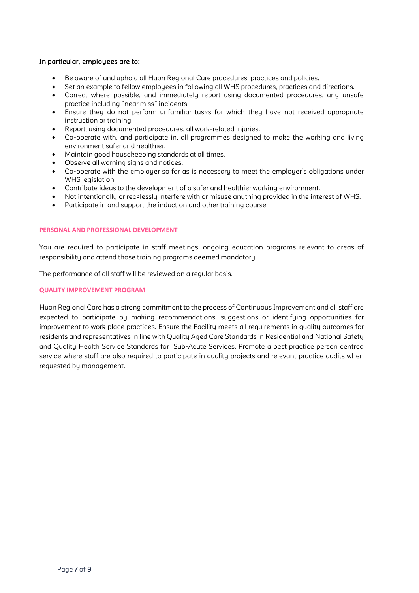## In particular, employees are to:

- Be aware of and uphold all Huon Regional Care procedures, practices and policies.
- Set an example to fellow employees in following all WHS procedures, practices and directions.
- Correct where possible, and immediately report using documented procedures, any unsafe practice including "near miss" incidents
- Ensure they do not perform unfamiliar tasks for which they have not received appropriate instruction or training.
- Report, using documented procedures, all work-related injuries.
- Co-operate with, and participate in, all programmes designed to make the working and living environment safer and healthier.
- Maintain good housekeeping standards at all times.
- Observe all warning signs and notices.
- Co-operate with the employer so far as is necessary to meet the employer's obligations under WHS legislation.
- Contribute ideas to the development of a safer and healthier working environment.
- Not intentionally or recklessly interfere with or misuse anything provided in the interest of WHS.
- Participate in and support the induction and other training course

### **PERSONAL AND PROFESSIONAL DEVELOPMENT**

You are required to participate in staff meetings, ongoing education programs relevant to areas of responsibility and attend those training programs deemed mandatory.

The performance of all staff will be reviewed on a regular basis.

## **QUALITY IMPROVEMENT PROGRAM**

Huon Regional Care has a strong commitment to the process of Continuous Improvement and all staff are expected to participate by making recommendations, suggestions or identifying opportunities for improvement to work place practices. Ensure the Facility meets all requirements in quality outcomes for residents and representatives in line with Quality Aged Care Standards in Residential and National Safety and Quality Health Service Standards for Sub-Acute Services. Promote a best practice person centred service where staff are also required to participate in quality projects and relevant practice audits when requested by management.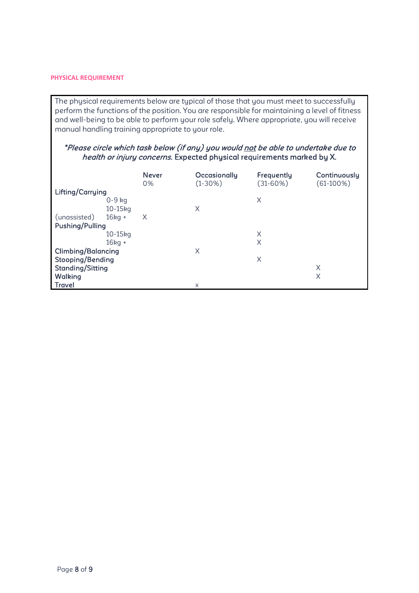## **PHYSICAL REQUIREMENT**

The physical requirements below are typical of those that you must meet to successfully perform the functions of the position. You are responsible for maintaining a level of fitness and well-being to be able to perform your role safely. Where appropriate, you will receive manual handling training appropriate to your role.

# \*Please circle which task below (if any) you would not be able to undertake due to health or injury concerns. Expected physical requirements marked by X.

|                           |           | <b>Never</b><br>0% | Occasionally<br>$(1-30%)$ | Frequently<br>$(31 - 60\%)$ | Continuously<br>$(61-100\%)$ |
|---------------------------|-----------|--------------------|---------------------------|-----------------------------|------------------------------|
| Lifting/Carrying          |           |                    |                           |                             |                              |
|                           | $0-9$ kg  |                    |                           | X                           |                              |
|                           | $10-15kg$ |                    | X                         |                             |                              |
| (unassisted)              | $16kg +$  | $\times$           |                           |                             |                              |
| Pushing/Pulling           |           |                    |                           |                             |                              |
|                           | $10-15kq$ |                    |                           | X                           |                              |
|                           | $16kg +$  |                    |                           | X                           |                              |
| <b>Climbing/Balancing</b> |           |                    | X                         |                             |                              |
| Stooping/Bending          |           |                    |                           | X                           |                              |
| <b>Standing/Sitting</b>   |           |                    |                           | Χ                           |                              |
| <b>Walking</b>            |           |                    |                           | Χ                           |                              |
| Travel                    |           |                    | X                         |                             |                              |